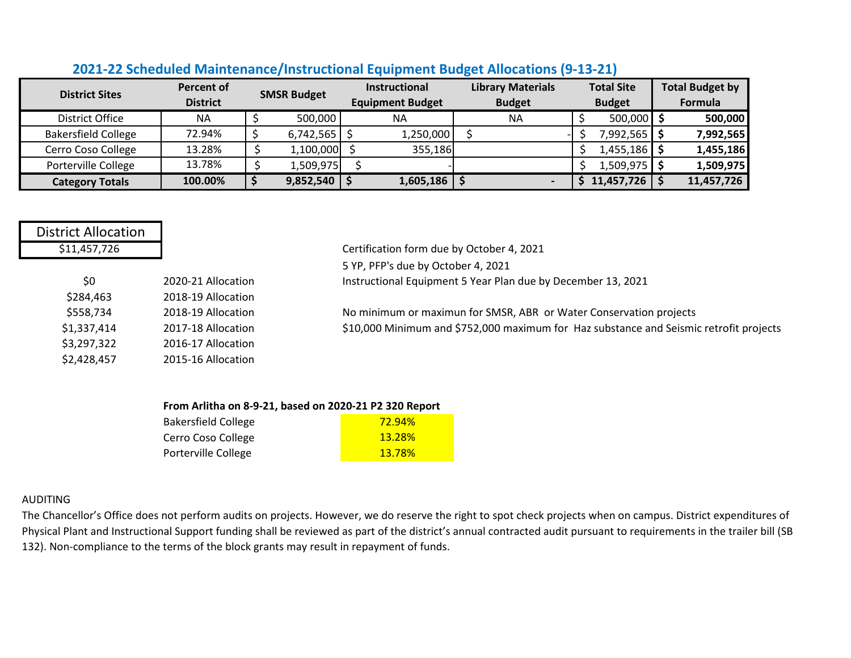|                            | <b>Percent of</b> |                    |                  | Instructional           | <b>Library Materials</b> |               | <b>Total Site</b> | <b>Total Budget by</b> |
|----------------------------|-------------------|--------------------|------------------|-------------------------|--------------------------|---------------|-------------------|------------------------|
| <b>District Sites</b>      | <b>District</b>   | <b>SMSR Budget</b> |                  | <b>Equipment Budget</b> | <b>Budget</b>            | <b>Budget</b> |                   | Formula                |
| <b>District Office</b>     | <b>NA</b>         |                    | 500,000          | <b>NA</b>               | <b>NA</b>                |               | 500,000           | 500,000                |
| <b>Bakersfield College</b> | 72.94%            |                    | 6,742,565        | 1,250,000               |                          |               | \$ ¶992,565.      | 7,992,565              |
| Cerro Coso College         | 13.28%            |                    | 1,100,000        | 355,186                 |                          |               | $1,455,186$ \$    | 1,455,186              |
| Porterville College        | 13.78%            |                    | 1,509,975        |                         |                          |               | $1,509,975$ \$    | 1,509,975              |
| <b>Category Totals</b>     | 100.00%           |                    | $9,852,540$   \$ | 1,605,186               |                          |               | 11,457,726        | 11,457,726             |

## **2021-22 Scheduled Maintenance/Instructional Equipment Budget Allocations (9-13-21)**

| <b>District Allocation</b> |                    |                                                                                        |
|----------------------------|--------------------|----------------------------------------------------------------------------------------|
| \$11,457,726               |                    | Certification form due by October 4, 2021                                              |
|                            |                    | 5 YP, PFP's due by October 4, 2021                                                     |
| \$0                        | 2020-21 Allocation | Instructional Equipment 5 Year Plan due by December 13, 2021                           |
| \$284,463                  | 2018-19 Allocation |                                                                                        |
| \$558,734                  | 2018-19 Allocation | No minimum or maximun for SMSR, ABR or Water Conservation projects                     |
| \$1,337,414                | 2017-18 Allocation | \$10,000 Minimum and \$752,000 maximum for Haz substance and Seismic retrofit projects |
| \$3,297,322                | 2016-17 Allocation |                                                                                        |
| \$2,428,457                | 2015-16 Allocation |                                                                                        |

## **From Arlitha on 8-9-21, based on 2020-21 P2 320 Report**

| <b>Bakersfield College</b> | <u>72.94%</u> |
|----------------------------|---------------|
| Cerro Coso College         | <b>13.28%</b> |
| Porterville College        | <b>13.78%</b> |

## AUDITING

The Chancellor's Office does not perform audits on projects. However, we do reserve the right to spot check projects when on campus. District expenditures of Physical Plant and Instructional Support funding shall be reviewed as part of the district's annual contracted audit pursuant to requirements in the trailer bill (SB 132). Non-compliance to the terms of the block grants may result in repayment of funds.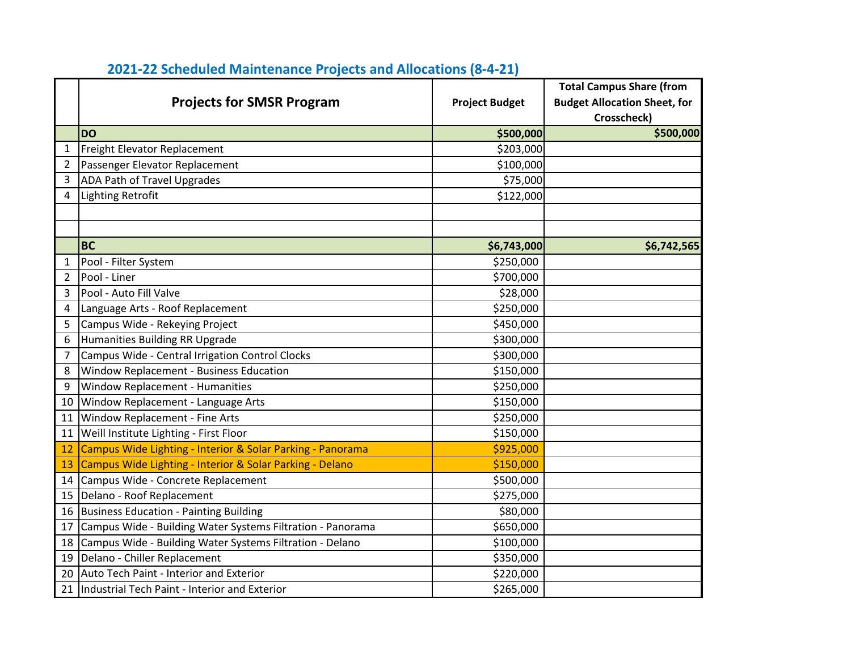|                | <b>Projects for SMSR Program</b>                           | <b>Project Budget</b> | <b>Total Campus Share (from</b><br><b>Budget Allocation Sheet, for</b><br>Crosscheck) |
|----------------|------------------------------------------------------------|-----------------------|---------------------------------------------------------------------------------------|
|                | <b>DO</b>                                                  | \$500,000             | \$500,000                                                                             |
| $\mathbf{1}$   | Freight Elevator Replacement                               | \$203,000             |                                                                                       |
| $\overline{2}$ | Passenger Elevator Replacement                             | \$100,000             |                                                                                       |
| 3              | <b>ADA Path of Travel Upgrades</b>                         | \$75,000              |                                                                                       |
| 4              | <b>Lighting Retrofit</b>                                   | \$122,000             |                                                                                       |
|                |                                                            |                       |                                                                                       |
|                |                                                            |                       |                                                                                       |
|                | <b>BC</b>                                                  | \$6,743,000           | \$6,742,565                                                                           |
| 1              | Pool - Filter System                                       | \$250,000             |                                                                                       |
| 2              | Pool - Liner                                               | \$700,000             |                                                                                       |
| 3              | Pool - Auto Fill Valve                                     | \$28,000              |                                                                                       |
| 4              | Language Arts - Roof Replacement                           | \$250,000             |                                                                                       |
| 5              | Campus Wide - Rekeying Project                             | \$450,000             |                                                                                       |
| 6              | Humanities Building RR Upgrade                             | \$300,000             |                                                                                       |
| 7              | Campus Wide - Central Irrigation Control Clocks            | \$300,000             |                                                                                       |
| 8              | Window Replacement - Business Education                    | \$150,000             |                                                                                       |
| 9              | <b>Window Replacement - Humanities</b>                     | \$250,000             |                                                                                       |
| 10             | Window Replacement - Language Arts                         | \$150,000             |                                                                                       |
| 11             | Window Replacement - Fine Arts                             | \$250,000             |                                                                                       |
| 11             | Weill Institute Lighting - First Floor                     | \$150,000             |                                                                                       |
| 12             | Campus Wide Lighting - Interior & Solar Parking - Panorama | \$925,000             |                                                                                       |
| 13             | Campus Wide Lighting - Interior & Solar Parking - Delano   | \$150,000             |                                                                                       |
| 14             | Campus Wide - Concrete Replacement                         | \$500,000             |                                                                                       |
| 15             | Delano - Roof Replacement                                  | \$275,000             |                                                                                       |
| 16             | Business Education - Painting Building                     | \$80,000              |                                                                                       |
| 17             | Campus Wide - Building Water Systems Filtration - Panorama | \$650,000             |                                                                                       |
| 18             | Campus Wide - Building Water Systems Filtration - Delano   | \$100,000             |                                                                                       |
| 19             | Delano - Chiller Replacement                               | \$350,000             |                                                                                       |
| 20             | Auto Tech Paint - Interior and Exterior                    | \$220,000             |                                                                                       |
| 21             | Industrial Tech Paint - Interior and Exterior              | \$265,000             |                                                                                       |

## **2021-22 Scheduled Maintenance Projects and Allocations (8-4-21)**